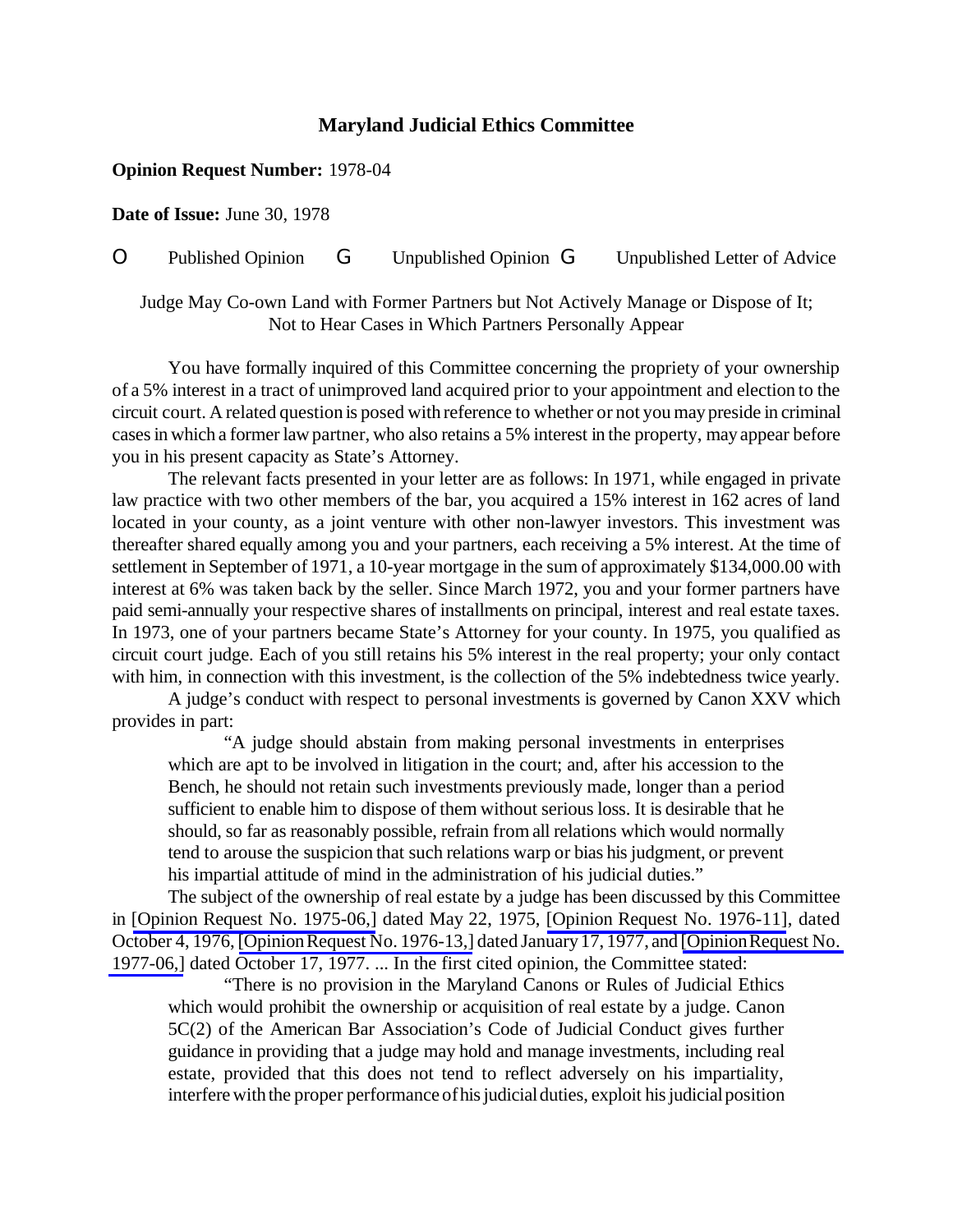## **Maryland Judicial Ethics Committee**

## **Opinion Request Number:** 1978-04

**Date of Issue:** June 30, 1978

O Published Opinion G Unpublished Opinion G Unpublished Letter of Advice

Judge May Co-own Land with Former Partners but Not Actively Manage or Dispose of It; Not to Hear Cases in Which Partners Personally Appear

You have formally inquired of this Committee concerning the propriety of your ownership of a 5% interest in a tract of unimproved land acquired prior to your appointment and election to the circuit court. A related question is posed with reference to whether or not you may preside in criminal casesin which a former law partner, who also retains a 5% interest in the property, may appear before you in his present capacity as State's Attorney.

The relevant facts presented in your letter are as follows: In 1971, while engaged in private law practice with two other members of the bar, you acquired a 15% interest in 162 acres of land located in your county, as a joint venture with other non-lawyer investors. This investment was thereafter shared equally among you and your partners, each receiving a 5% interest. At the time of settlement in September of 1971, a 10-year mortgage in the sum of approximately \$134,000.00 with interest at 6% was taken back by the seller. Since March 1972, you and your former partners have paid semi-annually your respective shares of installments on principal, interest and real estate taxes. In 1973, one of your partners became State's Attorney for your county. In 1975, you qualified as circuit court judge. Each of you still retains his 5% interest in the real property; your only contact with him, in connection with this investment, is the collection of the 5% indebtedness twice yearly.

A judge's conduct with respect to personal investments is governed by Canon XXV which provides in part:

"A judge should abstain from making personal investments in enterprises which are apt to be involved in litigation in the court; and, after his accession to the Bench, he should not retain such investments previously made, longer than a period sufficient to enable him to dispose of them without serious loss. It is desirable that he should, so far as reasonably possible, refrain from all relations which would normally tend to arouse the suspicion that such relations warp or bias hisjudgment, or prevent his impartial attitude of mind in the administration of his judicial duties."

The subject of the ownership of real estate by a judge has been discussed by this Committee in [Opinion Request No. [1975-06,\]](http://www.mdcourts.gov/ethics/pdfs/1975-06.pdf) dated May 22, 1975, [Opinion Request No. [1976-11\]](http://www.mdcourts.gov/ethics/pdfs/1976-11.pdf), dated October 4, 1976, [Opinion Request No. 1976-13,] dated January 17, 1977, and [Opinion Request No. [1977-06,\]](http://www.mdcourts.gov/ethics/pdfs/1977-06.pdf) dated October 17, 1977. ... In the first cited opinion, the Committee stated:

"There is no provision in the Maryland Canons or Rules of Judicial Ethics which would prohibit the ownership or acquisition of real estate by a judge. Canon 5C(2) of the American Bar Association's Code of Judicial Conduct gives further guidance in providing that a judge may hold and manage investments, including real estate, provided that this does not tend to reflect adversely on his impartiality, interfere with the proper performance of his judicial duties, exploit his judicial position